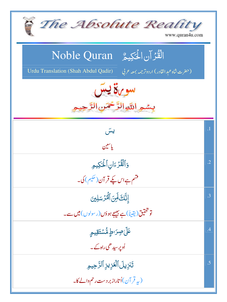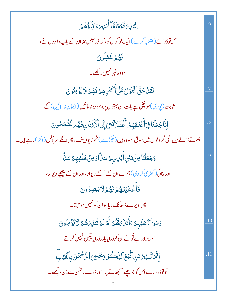| ڶؚٮؖ۠ڹڹ؆قؘۏڡٙٵڡۜٙٵۜٲؙٛڹڹ؆ٵڹۜٲؗۏ۠ۿؽ                                                               | .6             |
|--------------------------------------------------------------------------------------------------|----------------|
| کہ توڈرائے(متنبہ کرے)ایک لوگوں کو، کہ ڈرنہیں <sub>شن</sub> ااُن کے باپ دادوں نے،                 |                |
| فَهُمْ غَفِلُونَ                                                                                 |                |
| سووہ خمر نہیں رکھتے۔                                                                             |                |
| لَقَّلۡ حَقَّ ٱلۡقَوۡلُ عَلَىٰٓأَ كُثَرِهِمۡ فَهُمۡ لَا يُؤۡمِنُونَ                              | .7             |
| ثابت (پوری)ہو چکی ہے بات ان بہتوں پر،سووہ نہ مانیں (ایمان نہ لائیں) گے۔                          |                |
| إِنَّاجَعَلْنَا فِىَأَعۡنَقِهِمۡ أَغۡلَلاَۖ فَهِىَ إِلَى ٱلۡكُنۡقَانِ فَهُم مُّقۡمَحُونَ         | $\overline{8}$ |
| ہم نے ڈالے ہیں انکی گر دنوں میں طوق، سووہ ہیں (حکڑے) ٹھوڑیوں تک، پھر انکے سر اُلل (اکڑ) رہے ہیں۔ |                |
| <b>وَجَعَلْنَاصِنَٰبَيۡنِ أَيَٰٓلِ</b> يہِمۡ سَلَّا وَمِنۡ خَلَٰفِهِمۡ سَلَّا                    | 9.             |
| اور بنائی ( کھڑ ی کر دی) ہم نے ان کے آگے دیوار،اور ان کے پیچھے دیوار،                            |                |
| فَأَغۡشَيۡنَـٰهُمۡۚ فَهُمۡ لَايُبۡصِرُونَ                                                        |                |
| .<br>پھراوپر سے ڈھ <mark>انک دیاسوان کو نہیں سوجھتا۔</mark>                                      |                |
| وَسَوَآءٌ عَلَيۡہِمۡ ءَأَۚنَنۡءَهُمۡمَ أَمۡلَمۡتُنۡنَ تُنۡلِہۡهُمۡلَا لِّؤۡمِنُونَ               | .10            |
| اور برابر ہے تُونے ان کوڈرایایانہ ڈرایایقین نہیں کرتے۔                                           |                |
| إِنَّهَا تُنذِهُ مَنِ ٱتَّبَحَ ٱلذِّكَرَ وَخَشِى ٱلزَّحْمَدَنِ بِٱلْغَيَبِّ                      | .11            |
| تُولوْڈر سنائے اُس کو جو چلے سمجھانے پر ،اور ڈرے رحمٰن سے بن دیکھے۔                              |                |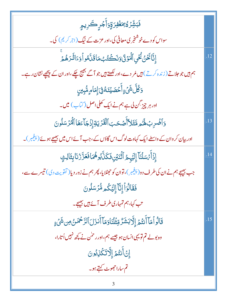| <b>ۘڡؘ</b> ٙڹۺ۠ <i>ؚۯٙ</i> ۠ۮ۠ <i>ؚۥٙۿۼٛڣۯۊؚٚ</i> ۯٲؖٛۘڂ۪ڔۣڪڔۑۄؚۣ                                 |     |
|---------------------------------------------------------------------------------------------------|-----|
| سواس کو دے خوشنجر <mark>کی معافی کی،اور عزت کے نیگ</mark> (اجر کریم) کی۔                          |     |
| ٳ۪ڐۜٛٲڬؘؽؙػٛ۫ۑؚٲڷؙػۯ۬ڹؘ؋ڒؘڂػٛؾ۠۠ڔؙڡؘٲؾؘڷ؋ۅٲۏٵڷؘٲڔؘۿ؞ۨٙ                                            | .12 |
| ہم ہیں جو جلاتے ( زندہ کرتے ) ہیں مُر دے،اور لکھتے ہیں جو آگے بھیج چکے،اور ان کے پیچھپے نشان رہے۔ |     |
| <i>ۏػ۠ڶۜٞ</i> ۺؘٛۦٟٳٲؘڂڡؘٮؽٮۤڡٞۊؗ۬ؠٙٳؚڡؘٲڡٟڡۨ۠ڹڹڹۣ                                                |     |
| اور ہر چیز <sup>گ</sup> ن لی ہے ہم نے ایک کھلی اصل ( <sup>ا</sup> تماب) میں۔                      |     |
| وَٱضۡرِبۡ لَهُ مِ مَّثَلاَّأَصۡ حَبَ ٱلۡقَدۡيَةِ إِذۡ جَآءَهَا ٱلۡمُرۡسَلُونَ                     | .13 |
| اور بیان کروان کے واسطے ایک کہاوت لوگ اس گاؤں کے ،جب آئے اس میں بھیجے ہوئے (پنجمبر )۔             |     |
| إِذَأَ تَسَلَّنَا إِلَيْهِمُ أَثْنَيْنِ فَكَلَّابُوهُمَا فَعَزَّ زُنَا بِثَالِثٍ                  | .14 |
| جب بھیجے ہم نے ان کی طرف دو(پنجیبر)، توان کو حہٹلا پا، پھر ہم نے زور دیا( تقویت دی) تیسرے سے ،    |     |
| فَقَالُوَاً إِنَّآ إِلَيْكُم مُّرۡسَلُونَ                                                         |     |
| تب کہا،ہم تمہاری طرف آئے ہیں بھیجے۔                                                               |     |
| قَالُواْ مَآ أَنتُمۡ إِلَّا بَشَرٌ مِّثۡلُنَاوَمَآ أَنزَلَ ٱلرَّحۡمَنُ مِن شَىۡءٍ                 | .15 |
| وہ بولے تم تو یہی انسان ہو جیسے ہم، اور رحمٰن نے کچھ نہیں اُتارا،                                 |     |
| إِنَ أَنتُمَ إِلَّاتَكُوْبُونَ                                                                    |     |
| تم ساراحجوٹ کہتے ہو۔                                                                              |     |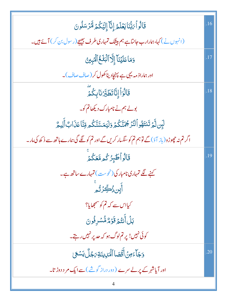| قَالُواْيَبُّنَايَعُلَمُ إِنَّآ إِلَيَّكُمۡ لَّأَرْسَلُونَ                                       | .16 |
|--------------------------------------------------------------------------------------------------|-----|
| (انہوں نے)کہا،ہمارارب جانتاہے ہم بیٹک تمہاری طرف بھیجے (رسول بن کر) آئے ہیں۔                     |     |
| وَمَا عَلَيۡنَآۤ إِلَّآ ٱلۡبَلۡـٰخُ ٱلۡۡبِيۡرِ ۚ                                                 | .17 |
| اور ہماراذ مہ یہی ہے پہنچادیناکھول کر (صاف صاف)۔                                                 |     |
| قَالُوَاۡۤإِنَّاتَطَيِّرۡنَابِكُمَّ                                                              | .18 |
| بولے ہم نے نامبارک دیکھاتم کو۔                                                                   |     |
| لَبِن لَّمَ تَنتَهُواْ لَنَزَ جُمَنَّكُمُ وَلَيَمَسَّنَّكُم قِنَّا عَذَابٌ أَلِيمٌ               |     |
| اگر تم نہ حچوڑو(باز آؤ) گے توہم تم کو سنگسار کریں گے اور تم کو لگے گی ہمارے ہاتھ سے ڈ کھ کی مار۔ |     |
| قَالُواۡطَبِرُكُمۡمَّعَكُمۡ                                                                      | .19 |
| کہنے لگے تمہاری نامبار کی (نحوست) تمہارے ساتھ ہے۔                                                |     |
| ٲٞؠٟٟڹۥؙؚٛ۠ٮڝؚؖۯٙڐ۠ۄؗ                                                                            |     |
| کیااس سے کہ تم کو سمجھایا؟                                                                       |     |
| بَلۡ أَنتُمۡ قَوۡمٌ مُّسۡدِفُونَ                                                                 |     |
| کوئی نہیں! پر تم لوگ ہو کہ حدیر نہیں رہتے۔                                                       |     |
| وَجَآءَ مِنۡ أَقۡصَا ٱلۡمَٰٓلِيَنَةِ رَجُلٌ يَسۡعَىٰ                                             | .20 |
| اور آپاشہر کے پر لے سرے (دور دراز گوشے)سے ایک مر د دوڑ تا۔                                       |     |
|                                                                                                  |     |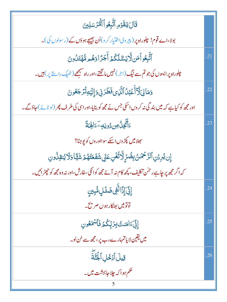| قَالَ يَتَقَوْمِ ٱتَّبِعُواْ ٱلْمُرْسَلِينَ                                                      |     |
|--------------------------------------------------------------------------------------------------|-----|
| بولا،اے قوم! چلوراہ پر (پیروی اختیار کرو)اُن بھیجے ہوؤں کے (رسولوں کی)۔                          |     |
| ٱتَّبِعُواۡمَن لَّايَسَّلُكُمۡ أَجۡرًاوَهُمۡ مُّهۡتَدُونَ                                        | .21 |
| چلوراہ پر ایسوں کی جو تم سے نیگ(جر) نہیں ما نگتے،اور راہ سہجھے(ٹھیک راستے پر) ہیں۔               |     |
| وَمَالِىَ لَآأَعۡبُلُ ٱلَّذِى فَطَرَنِى وَإِلَيۡهِ تُرۡجَعُونَ                                   | .22 |
| اور مجھ کو کیاہے کہ میں بند گی نہ کروں اسکی جس نے مجھ کو بنایا،اور اسی کی طرف پھر (لوٹائے)حاؤگے۔ |     |
| ۦ<br>ٵٞؾۜ۠ۼۣڷؙ؈ <u>ۯۅڹ</u> ڢۦٙٵ <mark>ۿ</mark> ٮٙةً                                              | .23 |
| <sup>ب</sup> ھلا <b>میں پکڑوں اسکے</b> سوااوروں کو پوجنا؟                                        |     |
| ٳۣڹؽ۠ڔۮڹۘٱڶڗٞڂۿٙٮڽٛڹؚڞۢڐٟٟڷؖٲٮؙ۠ڠؙڹۣعٙۏۣۨٙۺٙڣؘٙ <del>ۘڠؙ</del> ؠ۠ۿ۠ۿٙۺؘؿٙٙٲۏڷٲێ۠ڹۊؚۮؙۏڹ          |     |
| کہ اگر مجھ پر چاہے رحمٰن تکلیف، پچھ کام نہ آئے مجھ کوانکی سفارش،اور نہ وہ مجھ کو چھڑ ائیں۔       |     |
| ٳؚڹۣ۠ۜٙٙٳؚڋؘالَّفِى ضَلَلٍ مُّبِينٍ                                                              | .24 |
| توتومیں بھٹکار ہوں صریح۔                                                                         |     |
| ٳڋٚ <i>ؾ</i> ؘٵڡؘڹٮؾ۠ٛڹؚڗڹٜۨػ۠ۮؘڣؘٲۺٙڡػۅڹ                                                        | .25 |
| میں یقین لا یاتمہارے رب <i>یر ،مجھ سے سُن لو۔</i>                                                |     |
| قِيلَ أَدۡخُلِ ٱلۡجُنَّةَ                                                                        | .26 |
| ۔<br>حکم ہوا کہ چلاجابہشت میں۔                                                                   |     |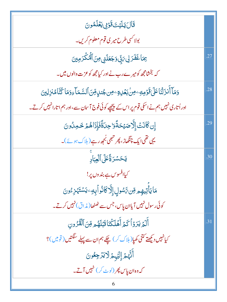| قَالَ يَلَيْتَ قَوْلِي يَعْلَمُونَ                                                                |     |
|---------------------------------------------------------------------------------------------------|-----|
| بولا <sup>کس</sup> ی طرح میری <b>قوم معلوم کریں۔</b>                                              |     |
| <i>ٟڿ</i> ٵۼؘڧؘڗڸ؆۪ۑۨٚ؋ڮۼڶڹۑ؋ڹٲڷٙ <sup>ۣۿ</sup> ػۘڒڡۣؾ                                            | .27 |
| کہ بخشامجھ کومیرے رب نے اور کیامجھ کوعزت والوں میں۔                                               |     |
| <u>و</u> َمَآ أَنزَلۡنَاعَلَىٰقَوۡمِهِۦڞؚؗڹ <i>ۼ</i> ۡڕٷۦڞؚڿڹڕؚۊڹٲڵڛۜؖمَآءِوَمَا ػ۠ڹۜٓامُنزِلِينَ | .28 |
| اور اُتاری نہیں ہم نے اسکی قوم پر اس کے پیچھپے کوئی فوج آ سان سے ،اور ہم اتارانہیں کرتے۔          |     |
| ٳؚڹ؇ؘٮؘ۬ٮۛٞٳٳؖ۠ۮڞؽڂڐٗٙۊٳڿڶۜۊٚۘۘڣؘٳؙؚؚۮؘٳۿ۠ۿٙۥڂڢڵؙۏڹؘ                                              | .29 |
| یہی تھی ایک چنگھاڑ، پھر تھی بُجھ رہے (ہلاک ہوئے)۔                                                 |     |
| يَحَسَّرَةًعَلَى ٱلۡعِبَادِ                                                                       | .30 |
| کیاافسوس ہے بندوں پر!                                                                             |     |
| <b>مَايَأْتِيهِ</b> مِ مِّن تَّسُولِ إِلَّا كَانُواْبِهِۦۢيَسۡتَہۡزِۦۢۚونَ                        |     |
| کوئی رسول نہیں آیاان پاس، جس سے ٹھٹھا( مذاق) نہیں کرتے۔                                           |     |
| أَلَمُ يَرَوۡأَكَمُ أَهۡلَكۡنَاقَبۡلَهُم مِّنَ ٱلۡقُرُونِ                                         | .31 |
| کیانہیں دیکھتے کتنی کھیا( ہلاک کر ) چکے ہم ان سے پہلے سنگتیں ( قومیں )؟                           |     |
| أَنَّهُمُ إِلَيْهِمُ لَايَزْجِعُونَ                                                               |     |
| کہ وہ ان پاس پھر (لو <sub>ٹ کر</sub> ) نہیں آتے۔                                                  |     |
| 6                                                                                                 |     |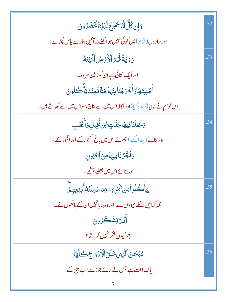| <u>وَإِن كُلُّ لَّمَّا</u> جَمِيعٌ لَّدَيْنَا مُحْضَرُونَ                     | .32 |
|-------------------------------------------------------------------------------|-----|
| اور ساروں ( تمام ) میں کوئی نہیں جو اکھٹے نہ آئیں ہمارے پاس پکڑے۔             |     |
| وَءَايَةٌ هَّمُ ٱلْأَرَّصُّ ٱلْمَيۡتَةُ                                       | .33 |
| اور ایک نشانی ہے ان کوزمین مر دہ۔                                             |     |
| أَحْيَيْنَهَاوَأَخْرَجُنَامِنُهَاحَبَّافَمِنْهُ يَأْكُلُونَ                   |     |
| اس کو ہم نے جلایا(زندہ کیا)اور نکالااس میں سے اناج،سواس میں سے کھاتے ہیں۔     |     |
| <mark>ۯ<sup>ؚ</sup>ڿؘۼڶۘڹٙٲڣؚۑۿٲڿڵۧؾٟ؋ؚٚڹۥ۬ؖٚڠٙ<sub>ؚ</sub>ۑڸٟۏٲٝۼۘؿۑؚ</mark> | .34 |
| اور بنائے(پیدائحے ) ہم نے اس میں باغ، کھجور کے اور انگور کے ،                 |     |
| وَفَجَّرُنَافِيهَامِنَ ٱلْعُيُونِ                                             |     |
| اور بنائے اس میں بعضے چشمے۔                                                   |     |
| ڶ <b>ۣؾ</b> ٲؙۜؗػؙڶۏٱۺ <sup>ؿ</sup> ۿؘڔۊۦۯڡؘٲۼڢڶؾؙۀٲٛؽ۬ڕؠۿؚۄٙؖ                | .35 |
| کہ کھائیں اسکے میوؤں سے ،اور وہ بنایانہیں ان کے ہاتھوں نے۔                    |     |
| أَفَلَا يَشْكُرُونَ                                                           |     |
| پھر کیوں شکر نہیں کرتے ؟                                                      |     |
| سُبۡحَنَ ٱلَّٰٓزِى خَلَقَ ٱلۡأَزۡدَٰوَا جَڪُلَّهَا                            | .36 |
| پاک ذات ہے جس نے بنائے جوڑے سب چیز کے ،                                       |     |
|                                                                               |     |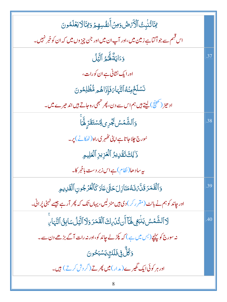| يتَاتُنْبِتْ ٱلْأَرْضُ وَمِنْ أَنفُسِهِمْ وَيْتَالَا يَعُلَمُونَ                       |     |
|----------------------------------------------------------------------------------------|-----|
| اس قیسم سے جو اؐ گناہے زمین میں ،اور آپ ان میں اور جن چیز وں میں کہ ان کو خبر نہیں۔    |     |
| وَءَايَةٌ لَهُ مُ ٱلَّيۡلُ                                                             | .37 |
| اور ایک نشانی ہے ان کورات،                                                             |     |
| نَسۡلَخۡهِنَٰهُٱلنَّهَامَفَإِذَاهُم مُّظَٰلِمُونَ                                      |     |
| اد ھیڑ (تھینچ) لیتے ہیں ہم اس سے دن، پھر تبھی رہ جاتے ہیں اند ھیرے میں۔                |     |
| <u>وَ</u> ٱلشَّمۡسُ بَجِّرِى لِٱسۡتَقَرِّ لَهَا                                        | .38 |
| سُورج <b>چلاجا تاہے اپنی ت</b> ظہر کی راہ (ٹھکانے ) پر۔                                |     |
| ذَٰلِكَتَقَٰٓلِيْدُ ٱلۡعَزِيزِ ٱلۡعَلِيمِ                                              |     |
| ىيەساد ھا( نظام) ہے اس زبر دست باخ <u>مر</u> كا۔                                       |     |
| وَٱلۡقَعَرَ قَلَّمۡشَاشَا لِلَحَتَّىٰ عَادَ كَٱلۡعُزۡ جُونِ ٱلۡقَالِيهِ                | .39 |
| اور جاند کو ہم نے بانٹ (مقرر کر) دی ہیں منزلیں، یہاں تک کہ پھر آر ہے جیسے ٹہنی پُرانی۔ |     |
| لَا ٱلشَّمۡسُ يَنۡبَعۡ لَهَآ أَن تُدۡرِكَ ٱلۡقَمَرَ وَلَا ٱلۡيَٰلُ سَابِنُ ٱلنَّهَارِ  | .40 |
| نہ سورج کو پہنچے (بس میں ہے ) کہ پکڑلے جاند کو،اور نہ رات آگے بڑھے دن سے۔              |     |
| <u>و</u> ڭلٌّ فِی فَلَلَ <sup>ھ</sup> ٍ يَسۡبَحُونَ                                    |     |
| اور ہر کوئی ایک گھیرے(مدار)میں پھرتے(گر دش کرتے) ہیں۔                                  |     |
|                                                                                        |     |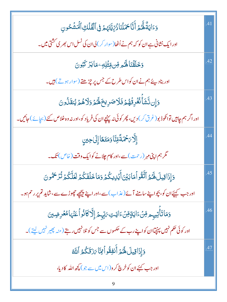| دَءَايَةٌ لَهُمُ أَنَّا حَمَلْنَاذُرِّيَّتَهُمْ فِى ٱلْفُلْكِ ٱلْمَشُحُونِ                                   | .41 |
|--------------------------------------------------------------------------------------------------------------|-----|
| اور ایک نشانی ہے ان کو کہ ہم نے اُٹھا(سوار کر) لی ان کی نسل اس بھر ی کشتی میں۔                               |     |
| <b>وَخَلَقَٰنَاهَ</b> مِّرضٍ وِّثْفِلِهِۦ مَايَزٌ كَبُونَ                                                    | .42 |
| اور بنادیئے ہم نے ان کواس طرح کے جس پر چڑھتے (سوار ہوتے) ہیں۔                                                |     |
| وَإِن نَّشَأَكْفُرِقُهُمُ فَلَاصَرِيخَهَٰهُمُ وَلَاهُمُ يُنقَلُونَ                                           | .43 |
| اور اگر ہم چاہیں توانکوڈ بو(غرق کر) دیں، پھر کوئی نہ پہنچے ان کی فریاد کو،اور نہ وہ خلاص کئے (بچائے) جائیں۔  |     |
| ٳڷ <b>ؖ</b> ۯ <i>ۥٙڂۿ</i> ٙڐؐٙڡؚٚڹؓٲۏؘڡؘؾٙڰٲٳؚڶٳڿؾڹۣ                                                         | .44 |
| گر ہم اپنی مہر (رحمت)سے،اور کام چلانے کوایک وقت (خاص) تک۔                                                    |     |
| وَإِذَاقِيلَ لَهُمُ ٱتَّقُواْمَابَيْنَ أَيُوِيكُمُ وَمَاخَلَفَكُمُ لَعَلَّكُمُ تُزَحَمُونَ                   | .45 |
| اور جب کہیئےان کو، پچواپنے سامنے آئے (عذاب)سے،اور اپنے پیچھے چچوڑے سے،شاید تم پر رحم ہو۔                     |     |
| <u>و</u> َمَاتَأْتِيہِم مِّنۡ ءَايَةٍمِّنۡ ءَايَتِ $\sqrt[3]{2}$ بِّهِمَّ إِلَّا كَانُواۡ عَنۡهَامُعۡرِضِينَ | .46 |
| اور کوئی حکم نہیں پہنچیاان کواپنے رب کے حکموں سے جس کو ٹلانہیں رہتے (منہ پھیر نہیں لیتے)۔                    |     |
| وَإِذَاقِيلَ لَهُمْ أَنْفِقُواْ مِمَّا يَنْ قَكُمُ ٱللَّهُ                                                   | .47 |
| اور جب کہنے ان کو خرچ کر و(اس میں سے جو) کچھ اللہ کا دیا،                                                    |     |
|                                                                                                              |     |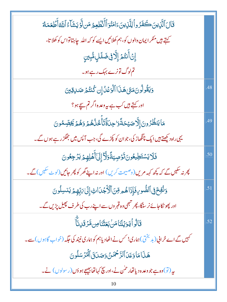| قَالَ ٱلَّذِينَ كَفَرُواْ لِلَّذِينَ ءَامَنُوَٱأَنُّطُعِيمُ مَن لَّهُ يَشَآءُ ٱللَّهُ أَطۡعَمَكُمْ     |     |
|--------------------------------------------------------------------------------------------------------|-----|
| کہتے ہیں منکر ایمان والوں کو، ہم کھلائیں ایسے کو کہ اللہ چاہتاتواس کو کھلا تا،                         |     |
| ٳؚڽۡٲۘٮ <i>۫ڐ۫</i> ۮٳڵ <b>ؖۯڧۣۻؘڶ</b> ڸؚڡ۠ٞؠؚؾڹۣ                                                       |     |
| تم لوگ تونرے بہک رہے ہو۔                                                                               |     |
| وَيَقُولُونَ مَتَىٰ هَذَا ٱلْوَعۡلَٰ إِن كُنتُمۡ صَلاِقِينَ                                            | .48 |
| اور کہتے ہیں <i>کب ہے یہ دعد</i> ہ اگر تم سیجے ہو؟                                                     |     |
| <b>مَايَنظُرُونَ إِلَّا صَيۡحَةًوَ'حِلَةَّتَأَخُرُٰهُمۡرَوَهُمۡ يَخِصِّمُونَ</b>                       | .49 |
| یہی راہ دیکھتے ہیں ایک چنگھاڑ کی،جوان کو پکڑے گی،جب آپس میں جھگڑ رہے ہوں گے۔                           |     |
| فَلَايَسۡتَطِيعُونَتَوۡصِيَةًوَلَآإِلَىٰٓأَهۡلِهِمۡ يَرۡجِعُونَ                                        | .50 |
| چرنہ سکیں گے کہ پچھ کہہ مریں(وصیحت کریں) اور نہ اپنے گھر کو پھر جائیں(لوٹ سکیں) گے۔                    |     |
| وَنُفِخَ فِى ٱلصُّورِ فَإِذَاهُمِ مِّنَ ٱلْأَجَدَاثِ إِلَىٰ مَرِّبِهِمَ يَنْسِلُونَ                    | .51 |
| اور پھو نکاحائے نر سڈگا، پھر تبھی وہ قبر وں سے اپنے رب کی طر ف پھیل پڑیں گے ۔                          |     |
| ؘ<br>قَالُواۡ يَوَيۡلَنَامَنۡ بَعَثۡنَاصِ۞َرۡقَـٰۤنِٱ                                                  | .52 |
| <i>کہیں گے اے خر</i> انی (بد بختی)ہماری! <i>کس نے اٹھ</i> ادیاہم کو ہماری نیند کی جگہ (خواب گاہوں) سے۔ |     |
| هَذَامَاوَعَدَ ٱلرَّحْمَنُ وَصَدَقَ ٱلْهُرُسَلُونَ                                                     |     |
| بیر (تو) وہ ہے جو وعد ہ دیا تھار حمٰن نے،اور بیچ کہا تھا بیجیجے ہو دَں (رِ سولوں) نے۔                  |     |
| 10                                                                                                     |     |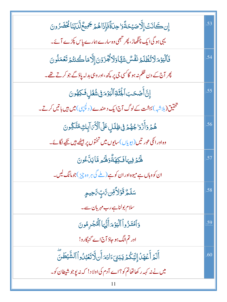| إِن كَانَتْ إِلَّا صَيْحَةًوَا حِلَةً فَإِذَاهُمْ جَمِيعٌ لَّلَ يُنَا مُخْضَرُونَ                      | .53 |
|--------------------------------------------------------------------------------------------------------|-----|
| یہی ہو گی ایک چنگھاڑ ، پھر تبھی وہ سارے ہمارے پاس پکڑے آئے۔                                            |     |
| فَٱلۡيَوۡمَلَاتُّظۡلَمُ نَفۡسٌ شَيَّاوَلَاتُجۡزَوۡنَ إِلَّامَاكُنتُمۡ تَعۡمَلُونَ                      | .54 |
| چر آج کے دن ظلم نہ ہو گاگسی جی پر پچھ،اور وہی بدلہ پاؤ گے جو کرتے تھے۔                                 |     |
| ٳؚڹۜٞٲؘڞٙػڹٲۼؙڹۜڐ۪ٱڶؖؽؘؚۯٙ؞ٙڣۣۺؙ۫ػ۠ڸؚڡؘ۬ػؚۿؙۏڹؘ                                                        | .55 |
| تحقیق(بل <sub>اشبه</sub> ) بہشت کے لوگ آج ایک د ھندے ( د <sup>کچ</sup> پپی) <b>میں ہیں باتیں</b> کرتے۔ |     |
| هُمۡ وَأَزۡوَا جُهُمۡ فِى ظِلَلِ عَلَى ٱلۡأَٰٓءَ آبِكِ مُتَّكِّونَ                                     | .56 |
| وہ اور انکی عور تیں(بیویاں)سایوں میں تختوں پر بیٹھے ہیں تکیے لگائے۔                                    |     |
| ۿ <i>ػ</i> ۮٙڣۣؠ <sub>ٙ</sub> ٵڧؘڮۿۊ۠ٞۏۿ <sub>ػ</sub> ۄڡؓٵؾڷۜٷڹ                                        | .57 |
| ان کووہاں ہے میوہ اور ان کو ہے (ملے گی ہر وہ چیز )جوم <b>ا</b> نگ لیں۔                                 |     |
| <del>ڛؘڶ</del> ڴؚ <b>ڐؘۏ</b> ٙڵٲڟؚڹ؆ٞڹ؊ۣڝ <sub>ڝڡٟ</sub>                                               | .58 |
| سلام بولناہے رب مہربان سے۔                                                                             |     |
| وَٱمۡتَذۡواۡ ٱلۡیَوۡمَ أَیُّهَا ٱلۡۡجُرِمُونَ                                                          | .59 |
| اور تم الگ ہو جاؤ آج اے گنہگارو!                                                                       |     |
| أَلَمَ أَعَهَدُ إِلَيْكُمُ يَبَنِيَءَادَمَ أَن لَاتَعَبْدُواُ ٱلشَّيْطَنَّ                             | .60 |
| میں نے نہ کہہ رکھا تھاتم کو؟اے آدم کی اولا د! کہ نہ پوجو شیطان کو۔                                     |     |
| 11                                                                                                     |     |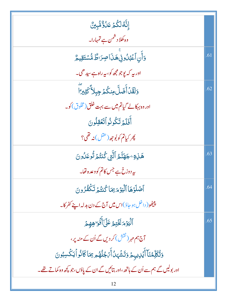| ٳڹۜۘۘڷڡؙڵػؙؽٙ؏ؘڵۊ۠ۺ۠ۑڽ۠                                                       |     |
|-------------------------------------------------------------------------------|-----|
| وہ کھلا دشمن ہے تمہارا۔                                                       |     |
| وَأَنِ ٱعۡبُلُونِیۡهَنَاصِرَاطٌ مُّسۡتَقِیمُّ                                 | .61 |
| اور بہ کہ یوجو مجھ کو، بہ راہ ہے سیدھی۔                                       |     |
| وَلَقَدۡ أَضَلَّ مِنكُمۡ جِبِلاً ۖ كَثِيرِ ۗ                                  | .62 |
| اور وہ بہکالے گیا <b>تم می</b> ں سے بہت خلق(مخلوق) کو۔                        |     |
| أَفَلَهُ تَكُونُواْتَعُقِلُونَ                                                |     |
| <i>پھر کیاتم کو بُوجھ (عقل</i> )نہ تھی؟                                       |     |
| هَـٰزِةِ ۚ جَهَنَّمُ ٱلَّتِي كُنتُمۡ تُوعَلُونَ                               | .63 |
| ىيە دوزخ ہے جس كاتم كووعدہ تقا۔                                               |     |
| أَصْلَوْهَا ٱلۡيَوۡمَهِ بِمَا كُنتُهُمۡ نَكۡفُوۡ وِنَ                         | .64 |
| پلیٹھو( داخل ہو جاؤ)اس میں آج کے دن بدلہ اپنے کفر کا۔                         |     |
| ٱلۡؽؘۏٙ؞ؘڬؘڹ <sub>ؖڂ</sub> ۄ۠عؘڶۤٲۜۏ۬ۘٷۿؚۄ                                    | .65 |
| آج ہم مہر (نقش) کر دیں گے اُن کے منہ پر،                                      |     |
| وَتُكَلِّمُنَآ أَيۡلِيهِمۡ وَتَشۡهَلُ أَمۡ جُلُهُم مِمَاكَانُوۡ ٱيَكۡسِبُونَ  |     |
| اور بولیں گے ہم سے اُن کے ہاتھ ،اور بتائیں گے ان کے یاؤں،جو کچھ وہ کماتے تھے۔ |     |
| 12                                                                            |     |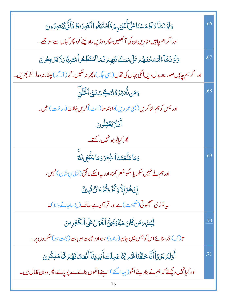| وَلَوْنَشَآءُلَطَمَسُنَاعَلَىٰٓأَعۡيُنِہٖمۡ فَٱسۡتَبَقُواۡٱلصِّرَاطَفَأَنَّىٰ يُبۡصِرُونَ                 | .66 |
|-----------------------------------------------------------------------------------------------------------|-----|
| اور اگر ہم چاہیں مٹادیں ان کی آنکھیں، پھر دوڑیں راہ لینے کو، پھر کہاں سے سو جھے۔                          |     |
| وَلَوۡ نَشَأۡءُلۡمَسَخۡدَهُمۡ عَلَىٰٰهَكَانَتِهِمۡ فَمَا ٱسۡتَطَعُواۡهُضِيَّاۚوَلَا يَرۡجِعُونَ           | .67 |
| اور اگر ہم جاہیں صورت بدل دیںاُ کی جہاں کی تھاں(اسی جگہ)، پھر نہ سکیں گے ( آگے ) جانا، نہ وہ اُلٹے پھریں۔ |     |
| <u>و</u> َمَن نُّعَمِّرُ <sub>كُ</sub> نْنَكِّسَٰهُ فِى ٱلْخُلْقِ                                         | .68 |
| اور جس کو ہم الٹاکریں(کمبی عمر دیں)،اوند حا(الٹ) کریںخِلقت (ساخت) میں۔                                    |     |
| أَفَلَا يَعْقِلُونَ                                                                                       |     |
| <i>پھر کی</i> ابُوجھ نہیں رکھتے۔                                                                          |     |
| دَمَاعَلَّمُنَهُٱلشَّعۡرَ دَمَايَنۢبَغِىلَ <i>ڰ</i>                                                       | .69 |
| اور ہم نے نہیں سکھایااسکو شعر کہنا،اور یہ اسکے لا کُق(شایانِ شان) نہیں،                                   |     |
| ٳۣڹٛۿؙۅؘٳ۪ڸؖٲٳڋڬۘڒۘ۠ۏڨؙۯٵڹۜ۠ڡ۠ۨڹؚێێٞ                                                                      |     |
| یہ تونر کی منتجھوتی(تص <u>یحت) ہ</u> ےاور قر آن ہے صاف(پڑھاجانے والا)۔                                    |     |
| لِيُّنذِينَ مَن كَانَ حَيَّا دَيَجِنَّ ٱلْقَوَّلُ عَلَى ٱلْكَفِرِينَ                                      | .70 |
| تا( کہ ) ڈرسنائےاس کو جس میں جان(زندہ ) ہو،اور ثابت ہوبات( حجت ہو)منگروں پر۔                              |     |
| أَوَلَمُ يَرَوۡأَأَنَّا خَلَقۡنَاۚ لَهُمۡ مِّمَّاۖ عَمِلَتۡ أَيۡلِاينَآ أَنۡعَمَّافَهُمۡ لَهَاۚ مَلِكُونَ | .71 |
| اور کیانہیں دیکھتے کہ ہم نے بنادیئے انکو(پید اکئے) اپنے ہاتھوں بنائےسے چوپائے، پھر وہ ان کامال ہیں۔       |     |
|                                                                                                           |     |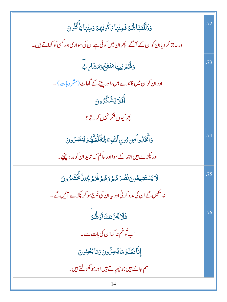| وَذَلَّلَّنَهَا لَهُمْ فَجِنَّهَا يَكُوبُهُمْ وَجِنْهَا يَأْكُلُونَ                  | .72 |
|--------------------------------------------------------------------------------------|-----|
| اور عاجز کر دیاان کوان کے آگے، پھر ان میں کو ئی ہے ان کی سواری اور کسی کو کھاتے ہیں۔ |     |
| وَلَهُمْ فِيهَامَنَفِعُوَمَشَارِبٌ                                                   | .73 |
| اور ان کوان میں فائدے ہیں،اوریپنے کے گھاٹ(مشر وبات)۔                                 |     |
| أَفَلَايَشَكْرُونَ                                                                   |     |
| پھر کیوں شکر نہیں کرتے ؟                                                             |     |
| وَأَتَّخَلُّواْ مِن دُونِ ٱللَّهِۦَالِهَةَلَّعَلَّهُمَّ يُنصَرُونَ                   | .74 |
| اور پکڑے ہیں اللہ کے سوااور حاکم کہ شاید ان کو مد دینچے۔                             |     |
| ٳ<br>ڶٳؾۺؾڟؚؠۼ۠ۅڹ <b>ؘٮٛڞ</b> ٙڔٙۿ۠ <u>ؽٙ</u> ؋ۿ۠ؿٙ؋۠ػؽڋۼڹڷ۠ڡ۠ؖۛڂٙڡ۠ۯ۠ۅڹ             | .75 |
| نہ سکیں گے ان کی مد د کرنی اور بیہ ان کی فوج ہو کر کپڑے آئیں گے۔                     |     |
| فَلَا يَجْزُنكَ قَوَهُمْ                                                             | .76 |
| اب تُوغم نہ کھاان کی بات سے۔                                                         |     |
| إِنَّانَعَلَمُ مَايُسِرُّونَ6مَايُعْلِنُونَ                                          |     |
| ہم جانتے ہیں جو چھیاتے ہیں اور جو کھولتے ہیں۔                                        |     |
| 14                                                                                   |     |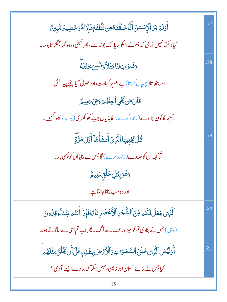| ٲۧۅ <i>ڶ</i> ٙۄۡ <i>ؾۯ</i> ٲڷٳٮٝٮؘٮ <i>ٙۜڷ</i> ڹ۠ۜٲڂۜڷڡؘٞٮۧۿ؈ٮ۠۠ڟڡؘٛۊٟڡ۫ٳؘؚۯؘٳۿۅؘڂڝؚۑؖؖ؉۠ۺ۠ڹۣڽ۠ |     |
|-------------------------------------------------------------------------------------------------|-----|
| کیاد کچھانہیں آدمی کہ ہم نے اسکو بنایاایک بوند سے ، پھر شبھی وہ ہو گیا جھگڑ تابولتا۔            |     |
| وَضَرَبَالَنَامَثَلاَّوَنَسِيَ خَلَقَهُ                                                         | .78 |
| اور بٹھا تا(چسپاں کر تا)ہے ہم پر کہاوت،اور بھول گی <b>ااپنی پید</b> ائش۔                        |     |
| قَالَ مَن يُجْيِ ٱلْعِظَمَ وَهِيَ بَمِيمٌ                                                       |     |
| کہنے لگاکون حلاوے ( زندہ کرے ) گاہڈیاں جب کھوکھر کی( بوسیدہ )ہو گئیں۔                           |     |
| ۛ<br><i>ڐؙ</i> ڶٛ <i>ڲ</i> ؙێٟۑؠؘٵٱلَّذِىٓأَنشَأَهَاۤأَوَّلَمَرَّةٍ                             | .79 |
| تُو کہہ ان کو حلاوے ( زندہ کرے ) گاجس نے بنایااُن کو پہلی بار۔                                  |     |
| <u>وَ</u> ۿؙۘۏۜۑؚڰ۠ڵۣڂۘڶٙڹؚ؏ؘڸيؖ؏۠                                                              |     |
| اور وہ سب بناناجانتاہے۔                                                                         |     |
| ٱلَّذِى جَعَلَ لَكُم مِّنَ ٱلشَّجَرِ ٱلْأَخْضَرِ نَاءًافَإِذَآ أَنتُم مِّنۡهُ تُوقِلُونَ        | .80 |
| (وہی)جس نے بنادی تم کوسبز درخت سے آگ۔ پھراب تم اس سے سلگاتے ہو۔                                 |     |
| أَوَلَيۡسَ ٱلَّذِى خَلَقَ ٱلسَّمَوَاتِ وَٱلۡأَرۡمَضَ بِقَدِيرِ عَلَىٰٓ أَن يَخۡلُقَ مِثۡلَهُم   | .81 |
| کیاجس نے بنائے آسان اور زمین، نہیں سکتا کہ بنادے ایسے آدمی؟                                     |     |
| 15                                                                                              |     |